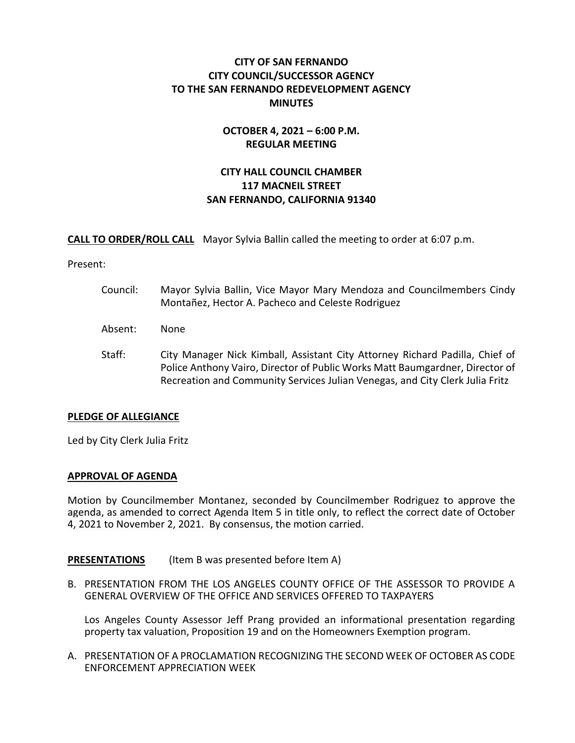# **CITY OF SAN FERNANDO CITY COUNCIL/SUCCESSOR AGENCY TO THE SAN FERNANDO REDEVELOPMENT AGENCY MINUTES**

## **OCTOBER 4, 2021 – 6:00 P.M. REGULAR MEETING**

# **CITY HALL COUNCIL CHAMBER 117 MACNEIL STREET SAN FERNANDO, CALIFORNIA 91340**

**CALL TO ORDER/ROLL CALL** Mayor Sylvia Ballin called the meeting to order at 6:07 p.m.

Present:

- Council: Mayor Sylvia Ballin, Vice Mayor Mary Mendoza and Councilmembers Cindy Montañez, Hector A. Pacheco and Celeste Rodriguez
- Absent: None
- Staff: City Manager Nick Kimball, Assistant City Attorney Richard Padilla, Chief of Police Anthony Vairo, Director of Public Works Matt Baumgardner, Director of Recreation and Community Services Julian Venegas, and City Clerk Julia Fritz

## **PLEDGE OF ALLEGIANCE**

Led by City Clerk Julia Fritz

## **APPROVAL OF AGENDA**

Motion by Councilmember Montanez, seconded by Councilmember Rodriguez to approve the agenda, as amended to correct Agenda Item 5 in title only, to reflect the correct date of October 4, 2021 to November 2, 2021. By consensus, the motion carried.

**PRESENTATIONS** (Item B was presented before Item A)

B. PRESENTATION FROM THE LOS ANGELES COUNTY OFFICE OF THE ASSESSOR TO PROVIDE A GENERAL OVERVIEW OF THE OFFICE AND SERVICES OFFERED TO TAXPAYERS

Los Angeles County Assessor Jeff Prang provided an informational presentation regarding property tax valuation, Proposition 19 and on the Homeowners Exemption program.

A. PRESENTATION OF A PROCLAMATION RECOGNIZING THE SECOND WEEK OF OCTOBER AS CODE ENFORCEMENT APPRECIATION WEEK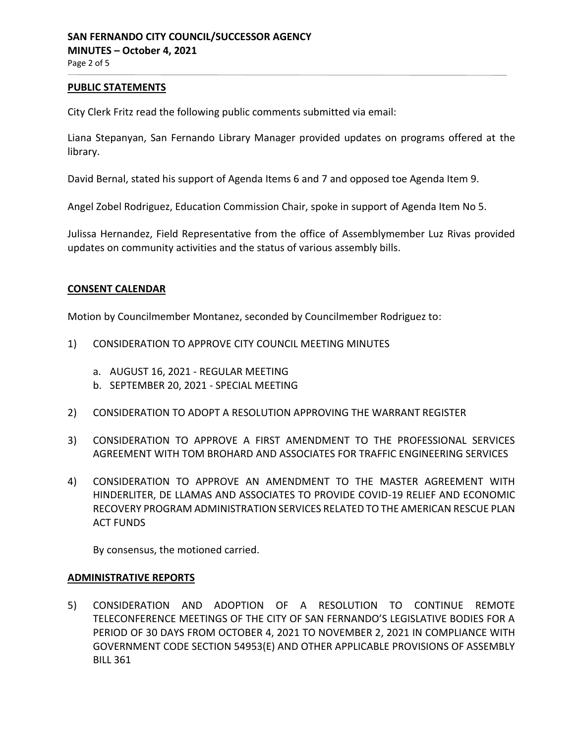## **PUBLIC STATEMENTS**

City Clerk Fritz read the following public comments submitted via email:

Liana Stepanyan, San Fernando Library Manager provided updates on programs offered at the library.

David Bernal, stated his support of Agenda Items 6 and 7 and opposed toe Agenda Item 9.

Angel Zobel Rodriguez, Education Commission Chair, spoke in support of Agenda Item No 5.

Julissa Hernandez, Field Representative from the office of Assemblymember Luz Rivas provided updates on community activities and the status of various assembly bills.

## **CONSENT CALENDAR**

Motion by Councilmember Montanez, seconded by Councilmember Rodriguez to:

- 1) CONSIDERATION TO APPROVE CITY COUNCIL MEETING MINUTES
	- a. AUGUST 16, 2021 REGULAR MEETING
	- b. SEPTEMBER 20, 2021 SPECIAL MEETING
- 2) CONSIDERATION TO ADOPT A RESOLUTION APPROVING THE WARRANT REGISTER
- 3) CONSIDERATION TO APPROVE A FIRST AMENDMENT TO THE PROFESSIONAL SERVICES AGREEMENT WITH TOM BROHARD AND ASSOCIATES FOR TRAFFIC ENGINEERING SERVICES
- 4) CONSIDERATION TO APPROVE AN AMENDMENT TO THE MASTER AGREEMENT WITH HINDERLITER, DE LLAMAS AND ASSOCIATES TO PROVIDE COVID-19 RELIEF AND ECONOMIC RECOVERY PROGRAM ADMINISTRATION SERVICES RELATED TO THE AMERICAN RESCUE PLAN ACT FUNDS

By consensus, the motioned carried.

## **ADMINISTRATIVE REPORTS**

5) CONSIDERATION AND ADOPTION OF A RESOLUTION TO CONTINUE REMOTE TELECONFERENCE MEETINGS OF THE CITY OF SAN FERNANDO'S LEGISLATIVE BODIES FOR A PERIOD OF 30 DAYS FROM OCTOBER 4, 2021 TO NOVEMBER 2, 2021 IN COMPLIANCE WITH GOVERNMENT CODE SECTION 54953(E) AND OTHER APPLICABLE PROVISIONS OF ASSEMBLY BILL 361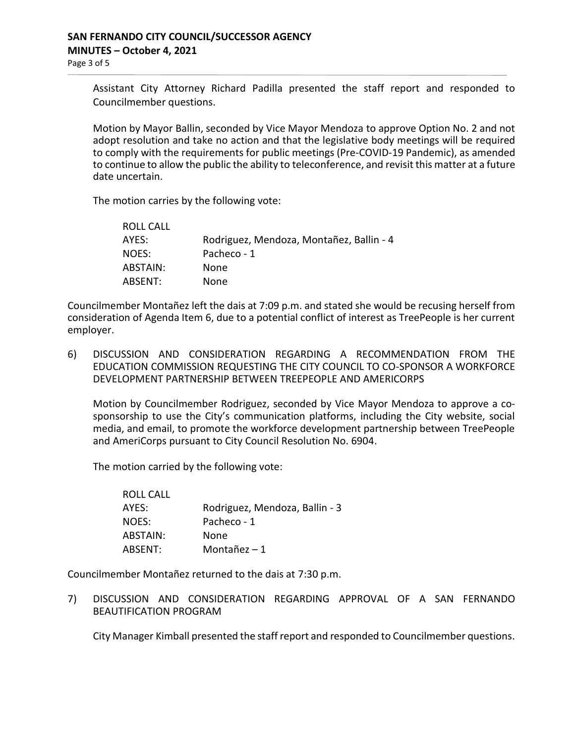Assistant City Attorney Richard Padilla presented the staff report and responded to Councilmember questions.

Motion by Mayor Ballin, seconded by Vice Mayor Mendoza to approve Option No. 2 and not adopt resolution and take no action and that the legislative body meetings will be required to comply with the requirements for public meetings (Pre-COVID-19 Pandemic), as amended to continue to allow the public the ability to teleconference, and revisit this matter at a future date uncertain.

The motion carries by the following vote:

| ROLL CALL |                                          |
|-----------|------------------------------------------|
| AYES:     | Rodriguez, Mendoza, Montañez, Ballin - 4 |
| NOES:     | Pacheco - 1                              |
| ABSTAIN:  | None                                     |
| ABSENT:   | None                                     |

Councilmember Montañez left the dais at 7:09 p.m. and stated she would be recusing herself from consideration of Agenda Item 6, due to a potential conflict of interest as TreePeople is her current employer.

6) DISCUSSION AND CONSIDERATION REGARDING A RECOMMENDATION FROM THE EDUCATION COMMISSION REQUESTING THE CITY COUNCIL TO CO-SPONSOR A WORKFORCE DEVELOPMENT PARTNERSHIP BETWEEN TREEPEOPLE AND AMERICORPS

Motion by Councilmember Rodriguez, seconded by Vice Mayor Mendoza to approve a cosponsorship to use the City's communication platforms, including the City website, social media, and email, to promote the workforce development partnership between TreePeople and AmeriCorps pursuant to City Council Resolution No. 6904.

The motion carried by the following vote:

| ROLL CALL |                                |
|-----------|--------------------------------|
| AYES:     | Rodriguez, Mendoza, Ballin - 3 |
| NOES:     | Pacheco - 1                    |
| ABSTAIN:  | None                           |
| ABSENT:   | Montañez $-1$                  |

Councilmember Montañez returned to the dais at 7:30 p.m.

7) DISCUSSION AND CONSIDERATION REGARDING APPROVAL OF A SAN FERNANDO BEAUTIFICATION PROGRAM

City Manager Kimball presented the staff report and responded to Councilmember questions.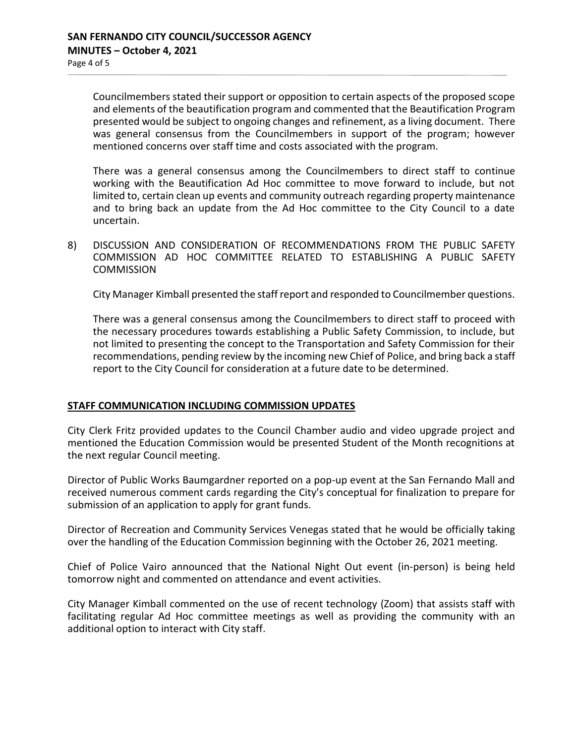Councilmembers stated their support or opposition to certain aspects of the proposed scope and elements of the beautification program and commented that the Beautification Program presented would be subject to ongoing changes and refinement, as a living document. There was general consensus from the Councilmembers in support of the program; however mentioned concerns over staff time and costs associated with the program.

There was a general consensus among the Councilmembers to direct staff to continue working with the Beautification Ad Hoc committee to move forward to include, but not limited to, certain clean up events and community outreach regarding property maintenance and to bring back an update from the Ad Hoc committee to the City Council to a date uncertain.

8) DISCUSSION AND CONSIDERATION OF RECOMMENDATIONS FROM THE PUBLIC SAFETY COMMISSION AD HOC COMMITTEE RELATED TO ESTABLISHING A PUBLIC SAFETY **COMMISSION** 

City Manager Kimball presented the staff report and responded to Councilmember questions.

There was a general consensus among the Councilmembers to direct staff to proceed with the necessary procedures towards establishing a Public Safety Commission, to include, but not limited to presenting the concept to the Transportation and Safety Commission for their recommendations, pending review by the incoming new Chief of Police, and bring back a staff report to the City Council for consideration at a future date to be determined.

## **STAFF COMMUNICATION INCLUDING COMMISSION UPDATES**

City Clerk Fritz provided updates to the Council Chamber audio and video upgrade project and mentioned the Education Commission would be presented Student of the Month recognitions at the next regular Council meeting.

Director of Public Works Baumgardner reported on a pop-up event at the San Fernando Mall and received numerous comment cards regarding the City's conceptual for finalization to prepare for submission of an application to apply for grant funds.

Director of Recreation and Community Services Venegas stated that he would be officially taking over the handling of the Education Commission beginning with the October 26, 2021 meeting.

Chief of Police Vairo announced that the National Night Out event (in-person) is being held tomorrow night and commented on attendance and event activities.

City Manager Kimball commented on the use of recent technology (Zoom) that assists staff with facilitating regular Ad Hoc committee meetings as well as providing the community with an additional option to interact with City staff.